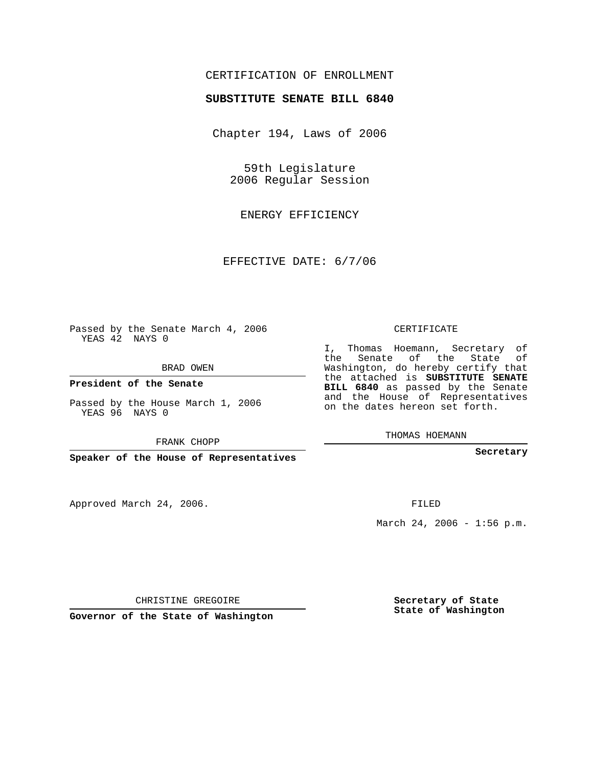## CERTIFICATION OF ENROLLMENT

## **SUBSTITUTE SENATE BILL 6840**

Chapter 194, Laws of 2006

59th Legislature 2006 Regular Session

ENERGY EFFICIENCY

EFFECTIVE DATE: 6/7/06

Passed by the Senate March 4, 2006 YEAS 42 NAYS 0

BRAD OWEN

**President of the Senate**

Passed by the House March 1, 2006 YEAS 96 NAYS 0

FRANK CHOPP

**Speaker of the House of Representatives**

Approved March 24, 2006.

CERTIFICATE

I, Thomas Hoemann, Secretary of the Senate of the State of Washington, do hereby certify that the attached is **SUBSTITUTE SENATE BILL 6840** as passed by the Senate and the House of Representatives on the dates hereon set forth.

THOMAS HOEMANN

**Secretary**

FILED

March 24, 2006 - 1:56 p.m.

CHRISTINE GREGOIRE

**Governor of the State of Washington**

**Secretary of State State of Washington**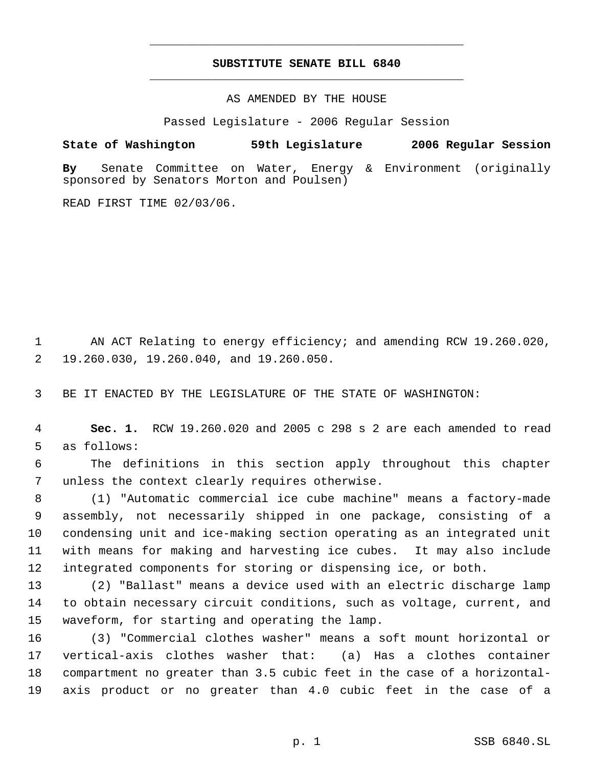## **SUBSTITUTE SENATE BILL 6840** \_\_\_\_\_\_\_\_\_\_\_\_\_\_\_\_\_\_\_\_\_\_\_\_\_\_\_\_\_\_\_\_\_\_\_\_\_\_\_\_\_\_\_\_\_

\_\_\_\_\_\_\_\_\_\_\_\_\_\_\_\_\_\_\_\_\_\_\_\_\_\_\_\_\_\_\_\_\_\_\_\_\_\_\_\_\_\_\_\_\_

AS AMENDED BY THE HOUSE

Passed Legislature - 2006 Regular Session

**State of Washington 59th Legislature 2006 Regular Session By** Senate Committee on Water, Energy & Environment (originally sponsored by Senators Morton and Poulsen)

READ FIRST TIME 02/03/06.

 AN ACT Relating to energy efficiency; and amending RCW 19.260.020, 19.260.030, 19.260.040, and 19.260.050.

BE IT ENACTED BY THE LEGISLATURE OF THE STATE OF WASHINGTON:

 **Sec. 1.** RCW 19.260.020 and 2005 c 298 s 2 are each amended to read as follows:

 The definitions in this section apply throughout this chapter unless the context clearly requires otherwise.

 (1) "Automatic commercial ice cube machine" means a factory-made assembly, not necessarily shipped in one package, consisting of a condensing unit and ice-making section operating as an integrated unit with means for making and harvesting ice cubes. It may also include integrated components for storing or dispensing ice, or both.

 (2) "Ballast" means a device used with an electric discharge lamp to obtain necessary circuit conditions, such as voltage, current, and waveform, for starting and operating the lamp.

 (3) "Commercial clothes washer" means a soft mount horizontal or vertical-axis clothes washer that: (a) Has a clothes container compartment no greater than 3.5 cubic feet in the case of a horizontal-axis product or no greater than 4.0 cubic feet in the case of a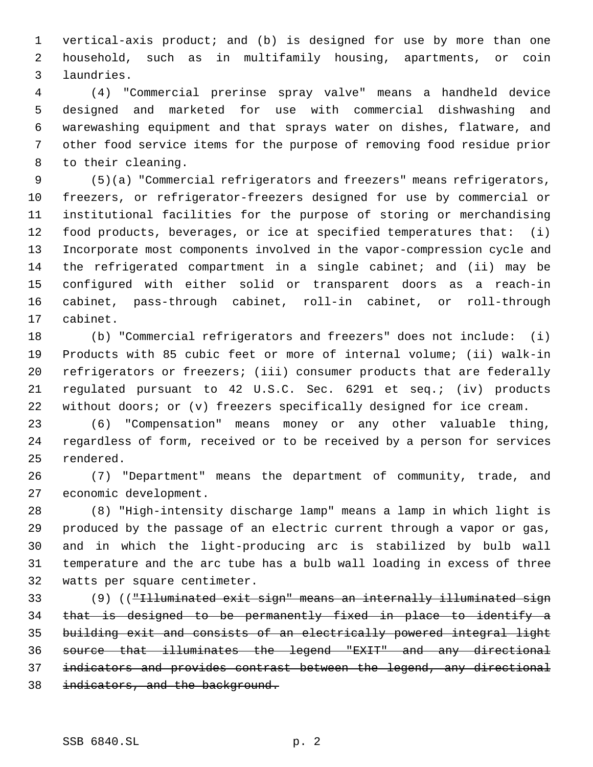vertical-axis product; and (b) is designed for use by more than one household, such as in multifamily housing, apartments, or coin laundries.

 (4) "Commercial prerinse spray valve" means a handheld device designed and marketed for use with commercial dishwashing and warewashing equipment and that sprays water on dishes, flatware, and other food service items for the purpose of removing food residue prior to their cleaning.

 (5)(a) "Commercial refrigerators and freezers" means refrigerators, freezers, or refrigerator-freezers designed for use by commercial or institutional facilities for the purpose of storing or merchandising food products, beverages, or ice at specified temperatures that: (i) Incorporate most components involved in the vapor-compression cycle and the refrigerated compartment in a single cabinet; and (ii) may be configured with either solid or transparent doors as a reach-in cabinet, pass-through cabinet, roll-in cabinet, or roll-through cabinet.

 (b) "Commercial refrigerators and freezers" does not include: (i) Products with 85 cubic feet or more of internal volume; (ii) walk-in refrigerators or freezers; (iii) consumer products that are federally regulated pursuant to 42 U.S.C. Sec. 6291 et seq.; (iv) products without doors; or (v) freezers specifically designed for ice cream.

 (6) "Compensation" means money or any other valuable thing, regardless of form, received or to be received by a person for services rendered.

 (7) "Department" means the department of community, trade, and economic development.

 (8) "High-intensity discharge lamp" means a lamp in which light is produced by the passage of an electric current through a vapor or gas, and in which the light-producing arc is stabilized by bulb wall temperature and the arc tube has a bulb wall loading in excess of three watts per square centimeter.

 (9) (("Illuminated exit sign" means an internally illuminated sign that is designed to be permanently fixed in place to identify a building exit and consists of an electrically powered integral light source that illuminates the legend "EXIT" and any directional indicators and provides contrast between the legend, any directional 38 indicators, and the background.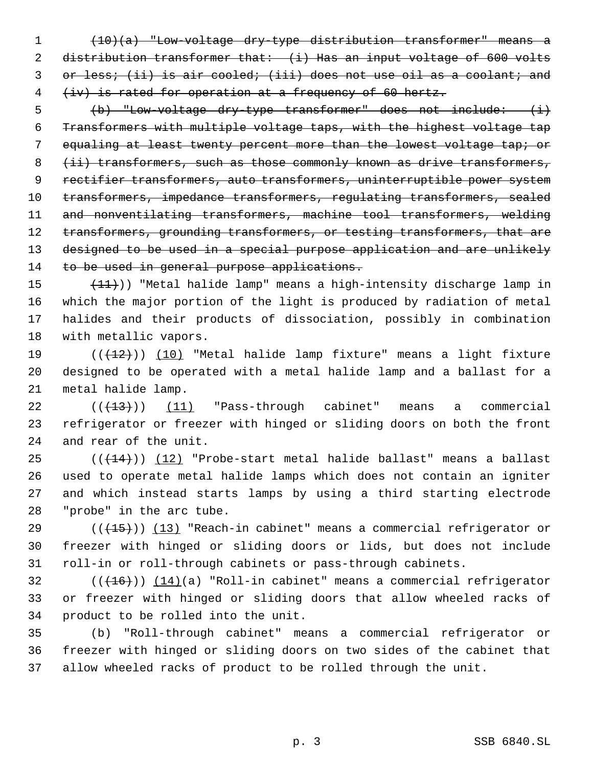(10)(a) "Low-voltage dry-type distribution transformer" means a 2 distribution transformer that: (i) Has an input voltage of 600 volts 3 or less; (ii) is air cooled; (iii) does not use oil as a coolant; and (iv) is rated for operation at a frequency of 60 hertz.

 (b) "Low-voltage dry-type transformer" does not include: (i) Transformers with multiple voltage taps, with the highest voltage tap 7 equaling at least twenty percent more than the lowest voltage tap; or 8 (ii) transformers, such as those commonly known as drive transformers, rectifier transformers, auto transformers, uninterruptible power system transformers, impedance transformers, regulating transformers, sealed and nonventilating transformers, machine tool transformers, welding 12 transformers, grounding transformers, or testing transformers, that are designed to be used in a special purpose application and are unlikely 14 to be used in general purpose applications.

 $(11)$ ) "Metal halide lamp" means a high-intensity discharge lamp in which the major portion of the light is produced by radiation of metal halides and their products of dissociation, possibly in combination with metallic vapors.

19  $((+12))$   $(10)$  "Metal halide lamp fixture" means a light fixture designed to be operated with a metal halide lamp and a ballast for a metal halide lamp.

 ( $(\overline{+13})$ )  $\underline{11}$  "Pass-through cabinet" means a commercial refrigerator or freezer with hinged or sliding doors on both the front and rear of the unit.

 (( $(14)$ )) (12) "Probe-start metal halide ballast" means a ballast used to operate metal halide lamps which does not contain an igniter and which instead starts lamps by using a third starting electrode "probe" in the arc tube.

29  $((+15))$  (13) "Reach-in cabinet" means a commercial refrigerator or freezer with hinged or sliding doors or lids, but does not include roll-in or roll-through cabinets or pass-through cabinets.

 (( $(16)$ )) (14)(a) "Roll-in cabinet" means a commercial refrigerator or freezer with hinged or sliding doors that allow wheeled racks of product to be rolled into the unit.

 (b) "Roll-through cabinet" means a commercial refrigerator or freezer with hinged or sliding doors on two sides of the cabinet that allow wheeled racks of product to be rolled through the unit.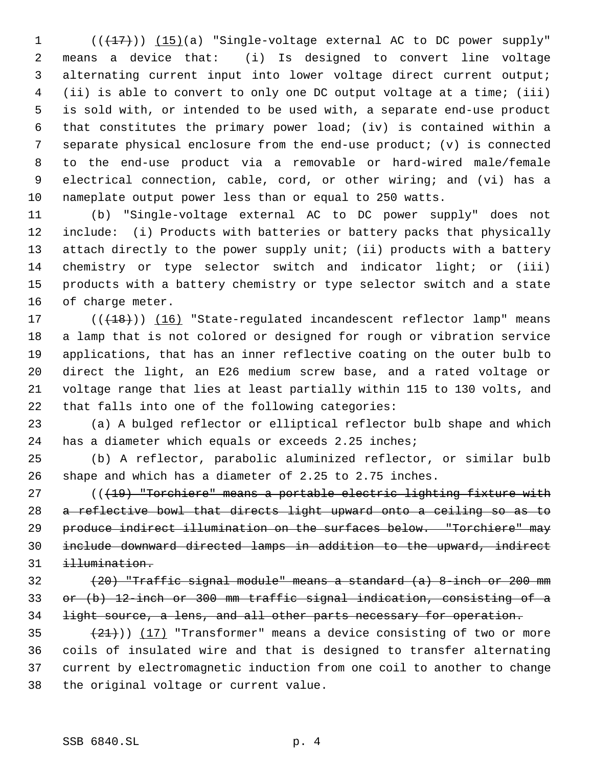( $(\frac{17}{17})$ )  $(15)(a)$  "Single-voltage external AC to DC power supply" means a device that: (i) Is designed to convert line voltage alternating current input into lower voltage direct current output; (ii) is able to convert to only one DC output voltage at a time; (iii) is sold with, or intended to be used with, a separate end-use product that constitutes the primary power load; (iv) is contained within a separate physical enclosure from the end-use product; (v) is connected to the end-use product via a removable or hard-wired male/female electrical connection, cable, cord, or other wiring; and (vi) has a nameplate output power less than or equal to 250 watts.

 (b) "Single-voltage external AC to DC power supply" does not include: (i) Products with batteries or battery packs that physically attach directly to the power supply unit; (ii) products with a battery chemistry or type selector switch and indicator light; or (iii) products with a battery chemistry or type selector switch and a state of charge meter.

17 (( $(18)$ )) (16) "State-regulated incandescent reflector lamp" means a lamp that is not colored or designed for rough or vibration service applications, that has an inner reflective coating on the outer bulb to direct the light, an E26 medium screw base, and a rated voltage or voltage range that lies at least partially within 115 to 130 volts, and that falls into one of the following categories:

 (a) A bulged reflector or elliptical reflector bulb shape and which has a diameter which equals or exceeds 2.25 inches;

 (b) A reflector, parabolic aluminized reflector, or similar bulb shape and which has a diameter of 2.25 to 2.75 inches.

27 (((19) "Torchiere" means a portable electric lighting fixture with a reflective bowl that directs light upward onto a ceiling so as to produce indirect illumination on the surfaces below. "Torchiere" may include downward directed lamps in addition to the upward, indirect illumination.

 (20) "Traffic signal module" means a standard (a) 8-inch or 200 mm or (b) 12-inch or 300 mm traffic signal indication, consisting of a 34 light source, a lens, and all other parts necessary for operation.

 $(21)$ )  $(17)$  "Transformer" means a device consisting of two or more coils of insulated wire and that is designed to transfer alternating current by electromagnetic induction from one coil to another to change the original voltage or current value.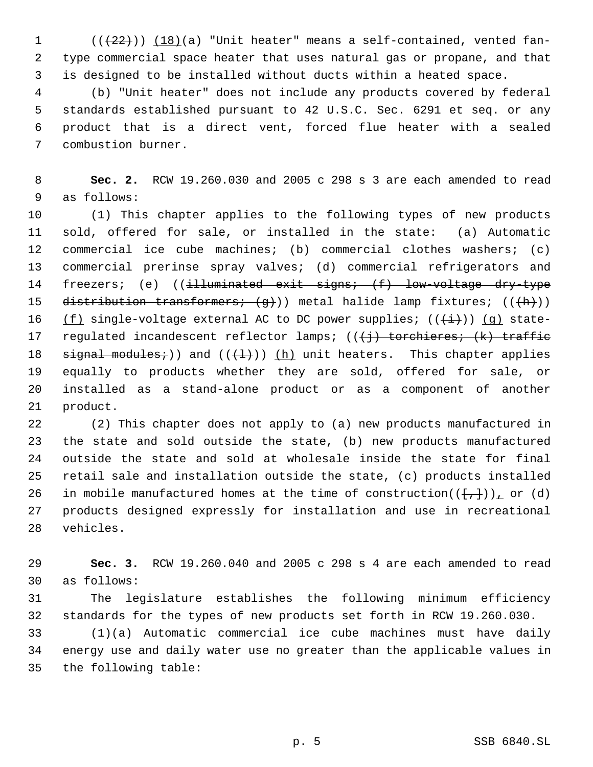$((22))$   $(18)(a)$  "Unit heater" means a self-contained, vented fan- type commercial space heater that uses natural gas or propane, and that is designed to be installed without ducts within a heated space.

 (b) "Unit heater" does not include any products covered by federal standards established pursuant to 42 U.S.C. Sec. 6291 et seq. or any product that is a direct vent, forced flue heater with a sealed combustion burner.

 **Sec. 2.** RCW 19.260.030 and 2005 c 298 s 3 are each amended to read as follows:

 (1) This chapter applies to the following types of new products sold, offered for sale, or installed in the state: (a) Automatic commercial ice cube machines; (b) commercial clothes washers; (c) commercial prerinse spray valves; (d) commercial refrigerators and 14 freezers; (e) ((illuminated exit signs; (f) low-voltage dry-type 15 distribution transformers;  $(g)$ ) metal halide lamp fixtures;  $((h))$ 16 (f) single-voltage external AC to DC power supplies;  $((+i+))$  (q) state-17 regulated incandescent reflector lamps;  $((\dagger j)$  torchieres;  $(k)$  traffic 18 signal modules;)) and  $((+1))$  (h) unit heaters. This chapter applies equally to products whether they are sold, offered for sale, or installed as a stand-alone product or as a component of another product.

 (2) This chapter does not apply to (a) new products manufactured in the state and sold outside the state, (b) new products manufactured outside the state and sold at wholesale inside the state for final retail sale and installation outside the state, (c) products installed 26 in mobile manufactured homes at the time of construction( $(\{\frac{1}{r}\})_L$  or (d) products designed expressly for installation and use in recreational vehicles.

 **Sec. 3.** RCW 19.260.040 and 2005 c 298 s 4 are each amended to read as follows:

 The legislature establishes the following minimum efficiency standards for the types of new products set forth in RCW 19.260.030.

 (1)(a) Automatic commercial ice cube machines must have daily energy use and daily water use no greater than the applicable values in the following table: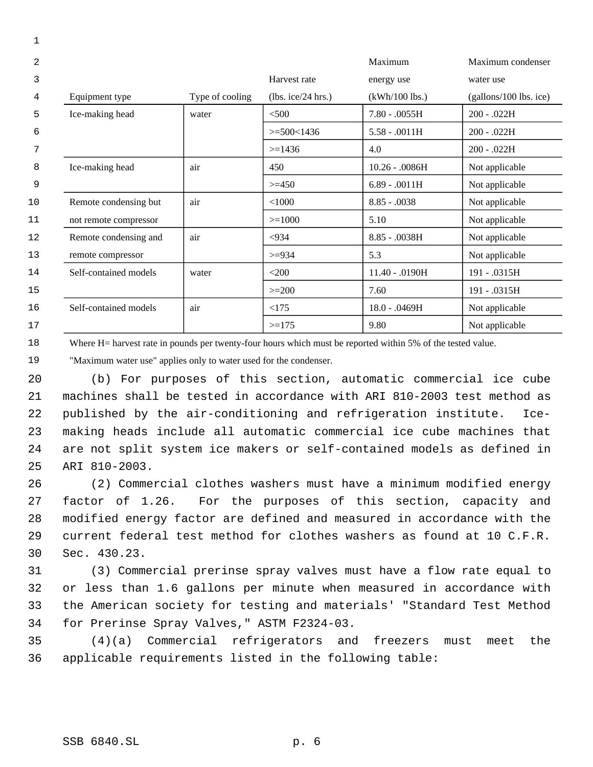| $\overline{a}$ |                       |                 |                    | Maximum          | Maximum condenser        |
|----------------|-----------------------|-----------------|--------------------|------------------|--------------------------|
| 3              |                       |                 | Harvest rate       | energy use       | water use                |
| 4              | Equipment type        | Type of cooling | (lbs. ice/24 hrs.) | $(kWh/100$ lbs.) | $(gallons/100$ lbs. ice) |
| 5              | Ice-making head       | water           | < 500              | $7.80 - .0055H$  | 200 - .022H              |
| 6              |                       |                 | $>= 500 < 1436$    | $5.58 - .0011H$  | $200 - .022H$            |
| 7              |                       |                 | $>=1436$           | 4.0              | $200 - .022H$            |
| 8              | Ice-making head       | air             | 450                | $10.26 - .0086H$ | Not applicable           |
| 9              |                       |                 | $>=150$            | $6.89 - .0011H$  | Not applicable           |
| 10             | Remote condensing but | air             | < 1000             | $8.85 - 0.0038$  | Not applicable           |
| 11             | not remote compressor |                 | $>=1000$           | 5.10             | Not applicable           |
| 12             | Remote condensing and | air             | < 934              | 8.85 - .0038H    | Not applicable           |
| 13             | remote compressor     |                 | $>=$ 934           | 5.3              | Not applicable           |
| 14             | Self-contained models | water           | $<$ 200            | 11.40 - .0190H   | 191 - .0315H             |
| 15             |                       |                 | $>=200$            | 7.60             | 191 - .0315H             |
| 16             | Self-contained models | air             | <175               | 18.0 - .0469H    | Not applicable           |
| 17             |                       |                 | $>=175$            | 9.80             | Not applicable           |
|                |                       |                 |                    |                  |                          |

 Where H= harvest rate in pounds per twenty-four hours which must be reported within 5% of the tested value.

"Maximum water use" applies only to water used for the condenser.

 (b) For purposes of this section, automatic commercial ice cube machines shall be tested in accordance with ARI 810-2003 test method as published by the air-conditioning and refrigeration institute. Ice- making heads include all automatic commercial ice cube machines that are not split system ice makers or self-contained models as defined in ARI 810-2003.

 (2) Commercial clothes washers must have a minimum modified energy factor of 1.26. For the purposes of this section, capacity and modified energy factor are defined and measured in accordance with the current federal test method for clothes washers as found at 10 C.F.R. Sec. 430.23.

 (3) Commercial prerinse spray valves must have a flow rate equal to or less than 1.6 gallons per minute when measured in accordance with the American society for testing and materials' "Standard Test Method for Prerinse Spray Valves," ASTM F2324-03.

 (4)(a) Commercial refrigerators and freezers must meet the applicable requirements listed in the following table: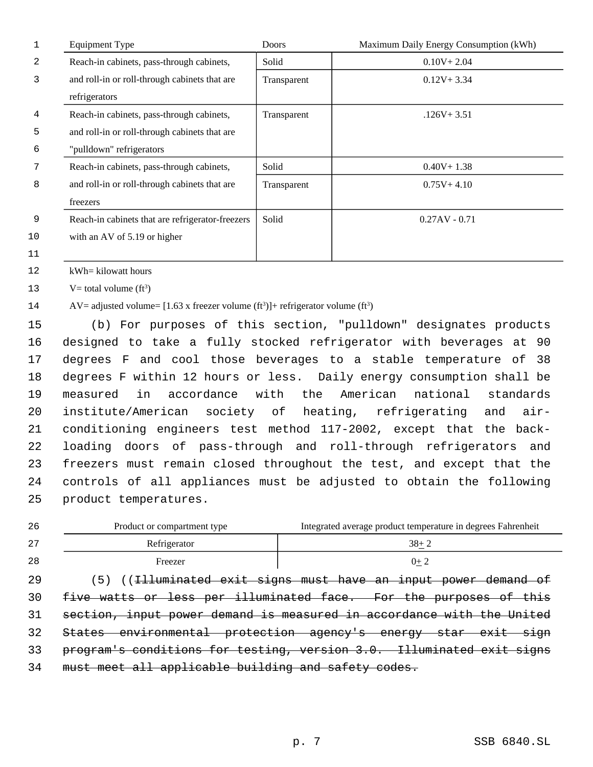| $\mathbf{1}$ | <b>Equipment Type</b>                                                                                 | Doors       | Maximum Daily Energy Consumption (kWh)                                  |  |  |
|--------------|-------------------------------------------------------------------------------------------------------|-------------|-------------------------------------------------------------------------|--|--|
| 2            | Reach-in cabinets, pass-through cabinets,                                                             | Solid       | $0.10V + 2.04$                                                          |  |  |
| 3            | and roll-in or roll-through cabinets that are                                                         | Transparent | $0.12V + 3.34$                                                          |  |  |
|              | refrigerators                                                                                         |             |                                                                         |  |  |
| 4            | Reach-in cabinets, pass-through cabinets,                                                             | Transparent | $.126V + 3.51$                                                          |  |  |
| 5            | and roll-in or roll-through cabinets that are                                                         |             |                                                                         |  |  |
| 6            | "pulldown" refrigerators                                                                              |             |                                                                         |  |  |
| 7            | Reach-in cabinets, pass-through cabinets,                                                             | Solid       | $0.40V + 1.38$                                                          |  |  |
| 8            | and roll-in or roll-through cabinets that are                                                         | Transparent | $0.75V + 4.10$                                                          |  |  |
|              | freezers                                                                                              |             |                                                                         |  |  |
| 9            | Reach-in cabinets that are refrigerator-freezers                                                      | Solid       | $0.27AV - 0.71$                                                         |  |  |
| 10           | with an AV of 5.19 or higher                                                                          |             |                                                                         |  |  |
| 11           |                                                                                                       |             |                                                                         |  |  |
| 12           | kWh= kilowatt hours                                                                                   |             |                                                                         |  |  |
| 13           | V= total volume ( $ft^3$ )                                                                            |             |                                                                         |  |  |
| 14           | AV= adjusted volume= $[1.63 \times \text{freeger volume (ft}^3)] + \text{refrigerator volume (ft}^3)$ |             |                                                                         |  |  |
| 15           | (b) For purposes of this section, "pulldown" designates products                                      |             |                                                                         |  |  |
| 16           | designed to take a fully stocked refrigerator with beverages at 90                                    |             |                                                                         |  |  |
| 17           | degrees F and cool those beverages to a stable temperature of<br>38                                   |             |                                                                         |  |  |
| 18           | degrees F within 12 hours or less. Daily energy consumption shall be                                  |             |                                                                         |  |  |
| 19           | accordance<br>the<br>American<br>national<br>in<br>with<br>standards<br>measured                      |             |                                                                         |  |  |
| 20           | institute/American<br>society of<br>heating, refrigerating<br>air-<br>and                             |             |                                                                         |  |  |
| 21           | conditioning engineers test method 117-2002, except that the back-                                    |             |                                                                         |  |  |
| 22           | loading doors of pass-through and roll-through refrigerators<br>and                                   |             |                                                                         |  |  |
| 23           | freezers must remain closed throughout the test, and except that the                                  |             |                                                                         |  |  |
| 24           |                                                                                                       |             | controls of all appliances must be adjusted to obtain the following     |  |  |
| 25           | product temperatures.                                                                                 |             |                                                                         |  |  |
| 26           | Product or compartment type                                                                           |             | Integrated average product temperature in degrees Fahrenheit            |  |  |
| 27           | Refrigerator                                                                                          |             | $38 + 2$                                                                |  |  |
| 28           | Freezer                                                                                               |             | $0+2$                                                                   |  |  |
| 29           | (5)                                                                                                   |             | (( <del>Illuminated exit signs must have an input power demand of</del> |  |  |
| 30           |                                                                                                       |             | five watts or less per illuminated face. For the purposes of this       |  |  |
| 31           |                                                                                                       |             | section, input power demand is measured in accordance with the United   |  |  |
| 32           |                                                                                                       |             | States environmental protection agency's energy star exit sign          |  |  |
| 33           | program's conditions for testing, version 3.0. Illuminated exit signs                                 |             |                                                                         |  |  |
| 34           | must meet all applicable building and safety codes.                                                   |             |                                                                         |  |  |
|              |                                                                                                       |             |                                                                         |  |  |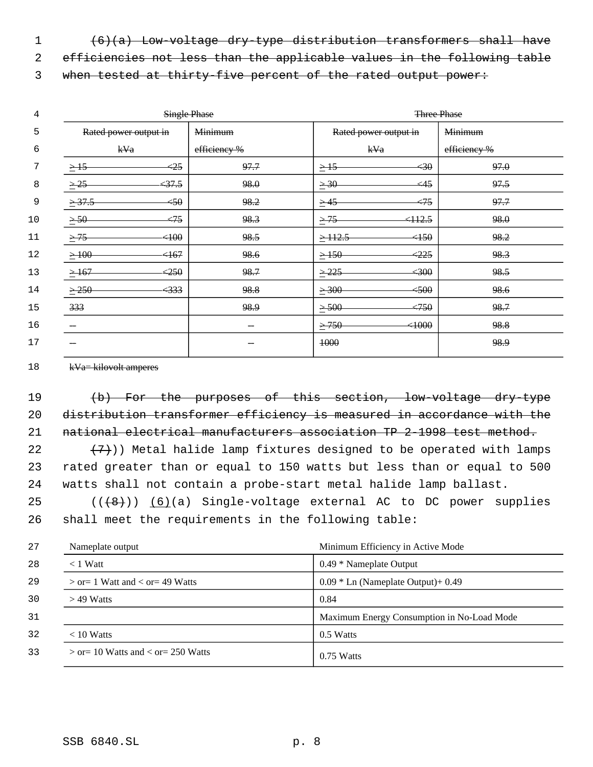1 (6)(a) Low-voltage dry-type distribution transformers shall have

efficiencies not less than the applicable values in the following table

3 when tested at thirty-five percent of the rated output power:

| 4    | <b>Single Phase</b>   |                   | <b>Three Phase</b> |                       |                   |                |
|------|-----------------------|-------------------|--------------------|-----------------------|-------------------|----------------|
| 5    | Rated power output in |                   | <b>Minimum</b>     | Rated power output in |                   | <b>Minimum</b> |
| 6    | kVa                   |                   | efficiency %       | kVa                   |                   | efficiency %   |
| 7    | $\geq$ 15             | $\leq 25$         | 97.7               | $\geq$ 15             | 430               | 97.0           |
| 8    | $\geq 25$             | 37.5              | 98.0               | $\geq 30$             | $\leftrightarrow$ | 97.5           |
| 9    | $\geq 37.5$           | < 50              | 98.2               | $\geq$ 45             | $\leftrightarrow$ | 97.7           |
| $10$ | $\geq 50-$            | $\leftrightarrow$ | 98.3               | $\geq$ 75             | 412.5             | 98.0           |
| 11   | $\geq$ 75             | 400               | 98.5               | $\geq$ 112.5          | 450               | 98.2           |
| 12   | $\geq 100$            | <167              | 98.6               | $\geq$ 150            | < 225             | 98.3           |
| 13   | $\geq 167$            | < 250             | 98.7               | $\geq$ 225            | 4300              | 98.5           |
| 14   | >250                  | $\leftrightarrow$ | 98.8               | $\geq 300$            | 4500              | 98.6           |
| 15   | 333                   |                   | 98.9               | $\geq 500$            | <750              | 98.7           |
| 16   |                       |                   |                    | >750                  | 4000              | 98.8           |
| 17   |                       |                   |                    | 1000                  |                   | 98.9           |
|      |                       |                   |                    |                       |                   |                |

18  $kVa=kilovolt$  amperes

 (b) For the purposes of this section, low-voltage dry-type distribution transformer efficiency is measured in accordance with the national electrical manufacturers association TP 2-1998 test method.

22  $(7)$ )) Metal halide lamp fixtures designed to be operated with lamps rated greater than or equal to 150 watts but less than or equal to 500 watts shall not contain a probe-start metal halide lamp ballast.

 ( $(\overline{+8})$ )  $(6)(a)$  Single-voltage external AC to DC power supplies shall meet the requirements in the following table:

| 27 | Nameplate output                       | Minimum Efficiency in Active Mode          |
|----|----------------------------------------|--------------------------------------------|
| 28 | $<$ 1 Watt                             | $0.49 * \text{Nameplate Output}$           |
| 29 | $>$ or = 1 Watt and $<$ or = 49 Watts  | $0.09 *$ Ln (Nameplate Output) + 0.49      |
| 30 | $>$ 49 Watts                           | 0.84                                       |
| 31 |                                        | Maximum Energy Consumption in No-Load Mode |
| 32 | $< 10$ Watts                           | 0.5 Watts                                  |
| 33 | $>$ or = 10 Watts and < or = 250 Watts | $0.75$ Watts                               |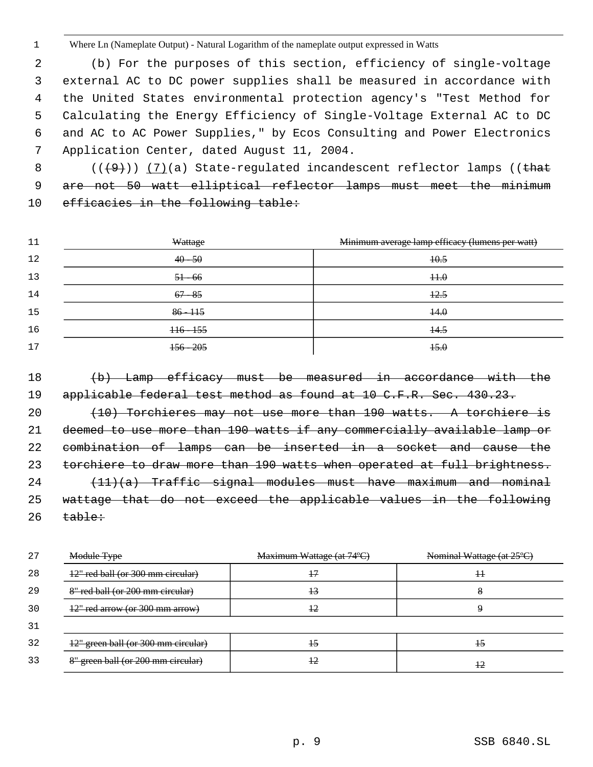Where Ln (Nameplate Output) - Natural Logarithm of the nameplate output expressed in Watts

 (b) For the purposes of this section, efficiency of single-voltage external AC to DC power supplies shall be measured in accordance with the United States environmental protection agency's "Test Method for Calculating the Energy Efficiency of Single-Voltage External AC to DC and AC to AC Power Supplies," by Ecos Consulting and Power Electronics Application Center, dated August 11, 2004.

8 ((<del>(9)</del>)) <u>(7)</u>(a) State-regulated incandescent reflector lamps ((that 9 are not 50 watt elliptical reflector lamps must meet the minimum 10 efficacies in the following table:

| 11 | Wattage     | Minimum average lamp efficacy (lumens per watt) |
|----|-------------|-------------------------------------------------|
| 12 | $40 - 50$   | 40.5                                            |
| 13 | $51 - 66$   | $+1.0$                                          |
| 14 | $67 - 85$   | 12.5                                            |
| 15 | $86 - 115$  | 44.0                                            |
| 16 | $+16 - 155$ | $+4.5$                                          |
| 17 | $156 - 205$ | 45.0                                            |

 (b) Lamp efficacy must be measured in accordance with the 19 applicable federal test method as found at 10 C.F.R. Sec. 430.23. (10) Torchieres may not use more than 190 watts. A torchiere is deemed to use more than 190 watts if any commercially available lamp or combination of lamps can be inserted in a socket and cause the torchiere to draw more than 190 watts when operated at full brightness. (11)(a) Traffic signal modules must have maximum and nominal wattage that do not exceed the applicable values in the following table:

| 27 | Module Type                         | Maximum Wattage (at 74°C) | Nominal Wattage (at 25°C) |
|----|-------------------------------------|---------------------------|---------------------------|
| 28 | 12" red ball (or 300 mm circular)   | 47                        | $^{\rm +}$                |
| 29 | 8" red ball (or 200 mm circular)    | $+3$                      | 8                         |
| 30 | $12$ " red arrow (or 300 mm arrow)  | 42                        |                           |
| 31 |                                     |                           |                           |
| 32 | 12" green ball (or 300 mm circular) | 15                        | 45                        |
| 33 | 8" green ball (or 200 mm circular)  | 42                        | 42                        |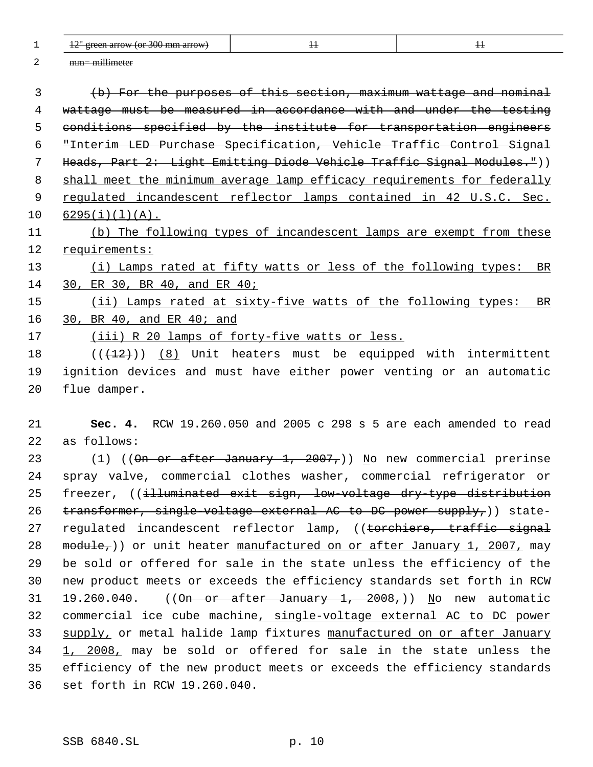$1 \t 12^{\circ}$  green arrow (or 300 mm arrow)  $11$  11 11 11 11 11 11 11 mm= millimeter (b) For the purposes of this section, maximum wattage and nominal wattage must be measured in accordance with and under the testing conditions specified by the institute for transportation engineers "Interim LED Purchase Specification, Vehicle Traffic Control Signal Heads, Part 2: Light Emitting Diode Vehicle Traffic Signal Modules.")) 8 shall meet the minimum average lamp efficacy requirements for federally regulated incandescent reflector lamps contained in 42 U.S.C. Sec.  $10 \quad 6295(i)(1)(A)$ . (b) The following types of incandescent lamps are exempt from these 12 requirements: 13 (i) Lamps rated at fifty watts or less of the following types: BR 30, ER 30, BR 40, and ER 40; 15 (ii) Lamps rated at sixty-five watts of the following types: BR 30, BR 40, and ER 40; and (iii) R 20 lamps of forty-five watts or less. 18 (( $(12)$ )) (8) Unit heaters must be equipped with intermittent ignition devices and must have either power venting or an automatic flue damper. **Sec. 4.** RCW 19.260.050 and 2005 c 298 s 5 are each amended to read as follows: 23 (1) ((On or after January 1, 2007,)) No new commercial prerinse spray valve, commercial clothes washer, commercial refrigerator or

25 freezer, ((illuminated exit sign, low-voltage dry-type distribution 26 transformer, single-voltage external AC to DC power supply,) state-27 regulated incandescent reflector lamp, ((torchiere, traffic signal 28 module,)) or unit heater manufactured on or after January 1, 2007, may 29 be sold or offered for sale in the state unless the efficiency of the 30 new product meets or exceeds the efficiency standards set forth in RCW 31 19.260.040. ((On or after January 1, 2008,)) No new automatic 32 commercial ice cube machine, single-voltage external AC to DC power 33 supply, or metal halide lamp fixtures manufactured on or after January 34 1, 2008, may be sold or offered for sale in the state unless the 35 efficiency of the new product meets or exceeds the efficiency standards 36 set forth in RCW 19.260.040.